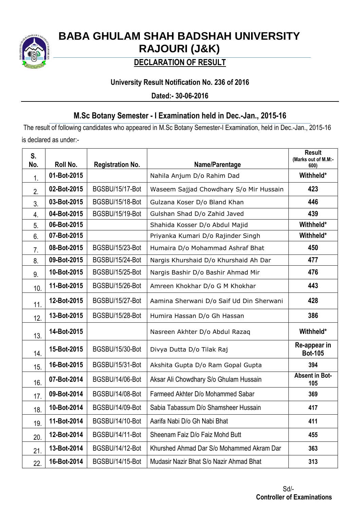

# **BABA GHULAM SHAH BADSHAH UNIVERSITY RAJOURI (J&K)**

## **DECLARATION OF RESULT**

## **University Result Notification No. 236 of 2016**

**Dated:- 30-06-2016**

## **M.Sc Botany Semester - I Examination held in Dec.-Jan., 2015-16**

The result of following candidates who appeared in M.Sc Botany Semester-I Examination, held in Dec.-Jan., 2015-16 is declared as under:-

| S.  |             |                         |                                           | <b>Result</b><br>(Marks out of M.M:- |
|-----|-------------|-------------------------|-------------------------------------------|--------------------------------------|
| No. | Roll No.    | <b>Registration No.</b> | Name/Parentage                            | 600)                                 |
| 1.  | 01-Bot-2015 |                         | Nahila Anjum D/o Rahim Dad                | Withheld*                            |
| 2.  | 02-Bot-2015 | BGSBU/15/17-Bot         | Waseem Sajjad Chowdhary S/o Mir Hussain   | 423                                  |
| 3.  | 03-Bot-2015 | BGSBU/15/18-Bot         | Gulzana Koser D/o Bland Khan              | 446                                  |
| 4.  | 04-Bot-2015 | BGSBU/15/19-Bot         | Gulshan Shad D/o Zahid Javed              | 439                                  |
| 5.  | 06-Bot-2015 |                         | Shahida Kosser D/o Abdul Majid            | Withheld*                            |
| 6.  | 07-Bot-2015 |                         | Priyanka Kumari D/o Rajinder Singh        | Withheld*                            |
| 7.  | 08-Bot-2015 | BGSBU/15/23-Bot         | Humaira D/o Mohammad Ashraf Bhat          | 450                                  |
| 8.  | 09-Bot-2015 | BGSBU/15/24-Bot         | Nargis Khurshaid D/o Khurshaid Ah Dar     | 477                                  |
| 9.  | 10-Bot-2015 | BGSBU/15/25-Bot         | Nargis Bashir D/o Bashir Ahmad Mir        | 476                                  |
| 10. | 11-Bot-2015 | BGSBU/15/26-Bot         | Amreen Khokhar D/o G M Khokhar            | 443                                  |
| 11. | 12-Bot-2015 | BGSBU/15/27-Bot         | Aamina Sherwani D/o Saif Ud Din Sherwani  | 428                                  |
| 12. | 13-Bot-2015 | BGSBU/15/28-Bot         | Humira Hassan D/o Gh Hassan               | 386                                  |
| 13. | 14-Bot-2015 |                         | Nasreen Akhter D/o Abdul Razaq            | Withheld*                            |
| 14. | 15-Bot-2015 | BGSBU/15/30-Bot         | Divya Dutta D/o Tilak Raj                 | Re-appear in<br><b>Bot-105</b>       |
| 15. | 16-Bot-2015 | BGSBU/15/31-Bot         | Akshita Gupta D/o Ram Gopal Gupta         | 394                                  |
| 16. | 07-Bot-2014 | BGSBU/14/06-Bot         | Aksar Ali Chowdhary S/o Ghulam Hussain    | <b>Absent in Bot-</b><br>105         |
| 17. | 09-Bot-2014 | BGSBU/14/08-Bot         | Farmeed Akhter D/o Mohammed Sabar         | 369                                  |
| 18. | 10-Bot-2014 | BGSBU/14/09-Bot         | Sabia Tabassum D/o Shamsheer Hussain      | 417                                  |
| 19. | 11-Bot-2014 | BGSBU/14/10-Bot         | Aarifa Nabi D/o Gh Nabi Bhat              | 411                                  |
| 20. | 12-Bot-2014 | BGSBU/14/11-Bot         | Sheenam Faiz D/o Faiz Mohd Butt           | 455                                  |
| 21. | 13-Bot-2014 | BGSBU/14/12-Bot         | Khurshed Ahmad Dar S/o Mohammed Akram Dar | 363                                  |
| 22. | 16-Bot-2014 | BGSBU/14/15-Bot         | Mudasir Nazir Bhat S/o Nazir Ahmad Bhat   | 313                                  |